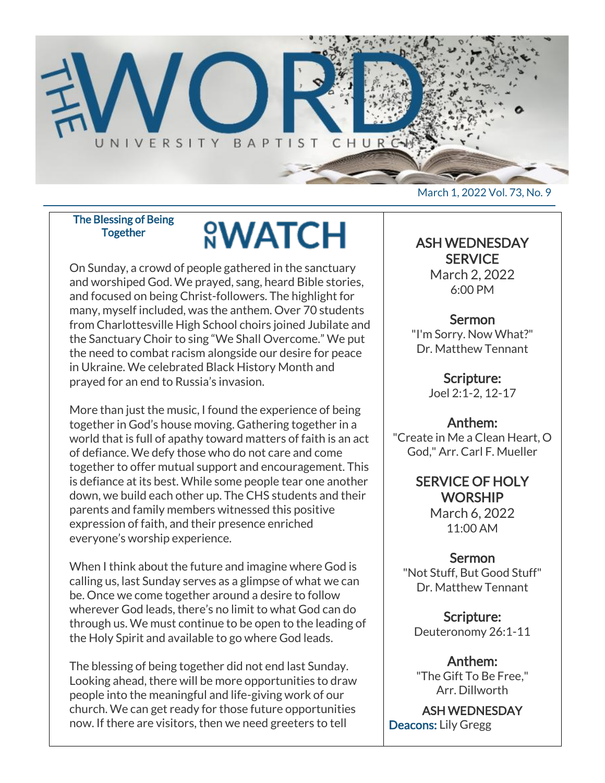

The Blessing of Being **Together** 

# **<u>NWATCH</u>**

On Sunday, a crowd of people gathered in the sanctuary and worshiped God. We prayed, sang, heard Bible stories, and focused on being Christ-followers. The highlight for many, myself included, was the anthem. Over 70 students from Charlottesville High School choirs joined Jubilate and the Sanctuary Choir to sing "We Shall Overcome." We put the need to combat racism alongside our desire for peace in Ukraine. We celebrated Black History Month and prayed for an end to Russia's invasion.

More than just the music, I found the experience of being together in God's house moving. Gathering together in a world that is full of apathy toward matters of faith is an act of defiance. We defy those who do not care and come together to offer mutual support and encouragement. This is defiance at its best. While some people tear one another down, we build each other up. The CHS students and their parents and family members witnessed this positive expression of faith, and their presence enriched everyone's worship experience.

When I think about the future and imagine where God is calling us, last Sunday serves as a glimpse of what we can be. Once we come together around a desire to follow wherever God leads, there's no limit to what God can do through us. We must continue to be open to the leading of the Holy Spirit and available to go where God leads.

The blessing of being together did not end last Sunday. Looking ahead, there will be more opportunities to draw people into the meaningful and life-giving work of our church. We can get ready for those future opportunities now. If there are visitors, then we need greeters to tell

March 1, 2022 Vol. 73, No. 9

#### ASH WEDNESDAY **SERVICE**

March 2, 2022 6:00 PM

## Sermon

"I'm Sorry. Now What?" Dr. Matthew Tennant

> Scripture: Joel 2:1-2, 12-17

# Anthem:

"Create in Me a Clean Heart, O God," Arr. Carl F. Mueller

> SERVICE OF HOLY **WORSHIP** March 6, 2022

11:00 AM

### **Sermon**

"Not Stuff, But Good Stuff" Dr. Matthew Tennant

Scripture: Deuteronomy 26:1-11

Anthem: "The Gift To Be Free," Arr. Dillworth

ASH WEDNESDAY Deacons: Lily Gregg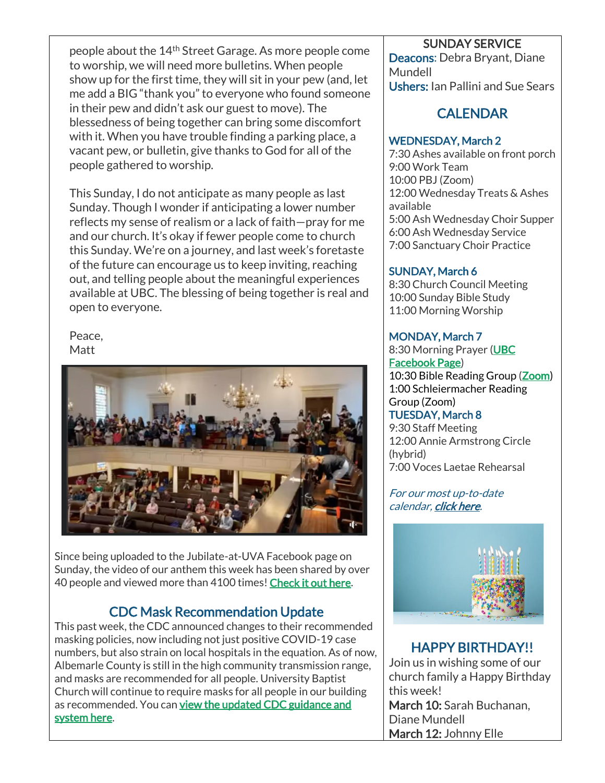people about the 14th Street Garage. As more people come to worship, we will need more bulletins. When people show up for the first time, they will sit in your pew (and, let me add a BIG "thank you" to everyone who found someone in their pew and didn't ask our guest to move). The blessedness of being together can bring some discomfort with it. When you have trouble finding a parking place, a vacant pew, or bulletin, give thanks to God for all of the people gathered to worship.

This Sunday, I do not anticipate as many people as last Sunday. Though I wonder if anticipating a lower number reflects my sense of realism or a lack of faith—pray for me and our church. It's okay if fewer people come to church this Sunday. We're on a journey, and last week's foretaste of the future can encourage us to keep inviting, reaching out, and telling people about the meaningful experiences available at UBC. The blessing of being together is real and open to everyone.

Peace, **Matt** 



Since being uploaded to the Jubilate-at-UVA Facebook page on Sunday, the video of our anthem this week has been shared by over 40 people and viewed more than 4100 times! [Check it out here.](https://fb.watch/budaQxklxQ/)

# CDC Mask Recommendation Update

This past week, the CDC announced changes to their recommended masking policies, now including not just positive COVID-19 case numbers, but also strain on local hospitals in the equation. As of now, Albemarle County is still in the high community transmission range, and masks are recommended for all people. University Baptist Church will continue to require masks for all people in our building as recommended. You can view the updated CDC guidance and [system here.](https://www.cdc.gov/coronavirus/2019-ncov/your-health/covid-by-county.html)

#### SUNDAY SERVICE

Deacons: Debra Bryant, Diane Mundell Ushers: Ian Pallini and Sue Sears

# **CALENDAR**

#### WEDNESDAY, March 2

7:30 Ashes available on front porch 9:00 Work Team 10:00 PBJ (Zoom) 12:00 Wednesday Treats & Ashes available 5:00 Ash Wednesday Choir Supper 6:00 Ash Wednesday Service 7:00 Sanctuary Choir Practice

#### SUNDAY, March 6

8:30 Church Council Meeting 10:00 Sunday Bible Study 11:00 Morning Worship

#### MONDAY, March 7

8:30 Morning Prayer [\(UBC](https://www.facebook.com/UniversityBaptistChurchCharlottesville) [Facebook Page\)](https://www.facebook.com/UniversityBaptistChurchCharlottesville) 10:30 Bible Reading Group [\(Zoom\)](https://us02web.zoom.us/j/85381408096?pwd=MzdkVG9JZ2x0M2JFK01KNlNjSWtqUT09) 1:00 Schleiermacher Reading Group (Zoom)

#### TUESDAY, March 8

9:30 Staff Meeting 12:00 Annie Armstrong Circle (hybrid) 7:00 Voces Laetae Rehearsal

For our most up-to-date calendar, [click here.](https://universitybaptist.org/calendar/)



# HAPPY BIRTHDAY!!

Join us in wishing some of our church family a Happy Birthday this week! March 10: Sarah Buchanan, Diane Mundell March 12: Johnny Elle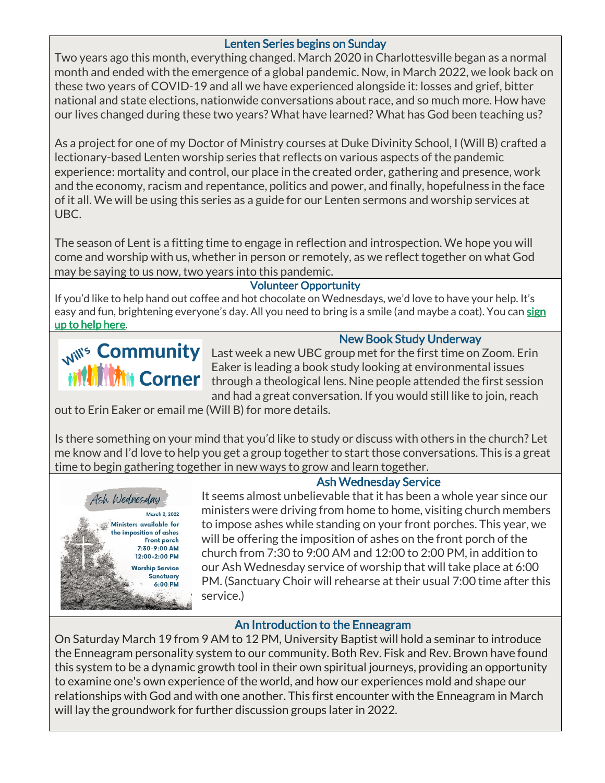#### Lenten Series begins on Sunday

Two years ago this month, everything changed. March 2020 in Charlottesville began as a normal month and ended with the emergence of a global pandemic. Now, in March 2022, we look back on these two years of COVID-19 and all we have experienced alongside it: losses and grief, bitter national and state elections, nationwide conversations about race, and so much more. How have our lives changed during these two years? What have learned? What has God been teaching us?

As a project for one of my Doctor of Ministry courses at Duke Divinity School, I (Will B) crafted a lectionary-based Lenten worship series that reflects on various aspects of the pandemic experience: mortality and control, our place in the created order, gathering and presence, work and the economy, racism and repentance, politics and power, and finally, hopefulness in the face of it all. We will be using this series as a guide for our Lenten sermons and worship services at UBC.

The season of Lent is a fitting time to engage in reflection and introspection. We hope you will come and worship with us, whether in person or remotely, as we reflect together on what God may be saying to us now, two years into this pandemic.

#### Volunteer Opportunity

If you'd like to help hand out coffee and hot chocolate on Wednesdays, we'd love to have your help. It's easy and fun, brightening everyone's day. All you need to bring is a smile (and maybe a coat). You can sign [up to help here.](https://docs.google.com/document/d/1KBkQTR3x3nmWKJ1rSoSU74-feVbhhp7ucWTPgBpxmYE/edit?usp=sharing)

### New Book Study Underway

W<sup>We</sup> Community Last week a new UBC group met for the first time on Zoom. Erin Eaker is leading a book study looking at environmental issues through a theological lens. Nine people attended the first session and had a great conversation. If you would still like to join, reach

out to Erin Eaker or email me (Will B) for more details.

Is there something on your mind that you'd like to study or discuss with others in the church? Let me know and I'd love to help you get a group together to start those conversations. This is a great time to begin gathering together in new ways to grow and learn together.



### Ash Wednesday Service

It seems almost unbelievable that it has been a whole year since our ministers were driving from home to home, visiting church members to impose ashes while standing on your front porches. This year, we will be offering the imposition of ashes on the front porch of the church from 7:30 to 9:00 AM and 12:00 to 2:00 PM, in addition to our Ash Wednesday service of worship that will take place at 6:00 PM. (Sanctuary Choir will rehearse at their usual 7:00 time after this service.)

#### An Introduction to the Enneagram

On Saturday March 19 from 9 AM to 12 PM, University Baptist will hold a seminar to introduce the Enneagram personality system to our community. Both Rev. Fisk and Rev. Brown have found this system to be a dynamic growth tool in their own spiritual journeys, providing an opportunity to examine one's own experience of the world, and how our experiences mold and shape our relationships with God and with one another. This first encounter with the Enneagram in March will lay the groundwork for further discussion groups later in 2022.